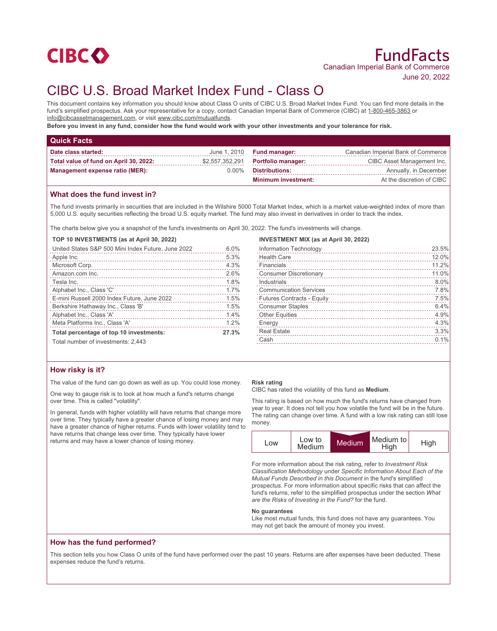

# CIBC U.S. Broad Market Index Fund - Class O

This document contains key information you should know about Class O units of CIBC U.S. Broad Market Index Fund. You can find more details in the fund's simplified prospectus. Ask your representative for a copy, contact Canadian Imperial Bank of Commerce (CIBC) at 1-800-465-3863 or info@cibcassetmanagement.com, or visit www.cibc.com/mutualfunds.

**Before you invest in any fund, consider how the fund would work with your other investments and your tolerance for risk.**

| <b>Quick Facts</b>                     |          |                                    |                                    |
|----------------------------------------|----------|------------------------------------|------------------------------------|
| Date class started:                    |          | June $1,2010$ Fund manager:        | Canadian Imperial Bank of Commerce |
| Total value of fund on April 30, 2022: |          | \$2,557,352,291 Portfolio manager: | CIBC Asset Management Inc.         |
| Management expense ratio (MER):        | $0.00\%$ | Distributions:                     | Annually, in December              |
|                                        |          | <b>Minimum investment:</b>         | At the discretion of CIBC          |

# **What does the fund invest in?**

The fund invests primarily in securities that are included in the Wilshire 5000 Total Market Index, which is a market value-weighted index of more than 5,000 U.S. equity securities reflecting the broad U.S. equity market. The fund may also invest in derivatives in order to track the index.

The charts below give you a snapshot of the fund's investments on April 30, 2022. The fund's investments will change.

#### **TOP 10 INVESTMENTS (as at April 30, 2022)**

| United States S&P 500 Mini Index Future, June 2022                                                                                                                                                                                                                  | 6.0%  |
|---------------------------------------------------------------------------------------------------------------------------------------------------------------------------------------------------------------------------------------------------------------------|-------|
| Apple Inc.                                                                                                                                                                                                                                                          | 5.3%  |
| Microsoft Corp.                                                                                                                                                                                                                                                     | 4.3%  |
| Amazon.com Inc.                                                                                                                                                                                                                                                     | 2.6%  |
| Tesla Inc.                                                                                                                                                                                                                                                          | 1.8%  |
| Alphabet Inc., Class 'C'                                                                                                                                                                                                                                            | 1.7%  |
| E-mini Russell 2000 Index Future, June 2022                                                                                                                                                                                                                         | 1.5%  |
| Berkshire Hathaway Inc., Class 'B'<br>and a construction of the construction of the construction of the construction of the construction of the construction of the construction of the construction of the construction of the construction of the construction of | 1.5%  |
| Alphabet Inc., Class 'A'                                                                                                                                                                                                                                            | 1.4%  |
| Meta Platforms Inc., Class 'A'                                                                                                                                                                                                                                      | 1.2%  |
| Total percentage of top 10 investments:                                                                                                                                                                                                                             | 27.3% |
| Total number of investments: 2,443                                                                                                                                                                                                                                  |       |

### **INVESTMENT MIX (as at April 30, 2022)**

|                                   | 23.5% |
|-----------------------------------|-------|
| <b>Health Care</b>                | 12.0% |
| Financials                        | 11.2% |
| <b>Consumer Discretionary</b>     | 11.0% |
| Industrials                       | 8.0%  |
| <b>Communication Services</b>     | 7.8%  |
| <b>Futures Contracts - Equity</b> | 7.5%  |
| <b>Consumer Staples</b>           | 6.4%  |
| <b>Other Equities</b>             | 4.9%  |
| Energy                            | 4.3%  |
| <b>Real Estate</b>                | 3.3%  |
| Cash                              | 0.1%  |
|                                   |       |

## **How risky is it?**

The value of the fund can go down as well as up. You could lose money.

One way to gauge risk is to look at how much a fund's returns change over time. This is called "volatility".

In general, funds with higher volatility will have returns that change more over time. They typically have a greater chance of losing money and may have a greater chance of higher returns. Funds with lower volatility tend to have returns that change less over time. They typically have lower returns and may have a lower chance of losing money.

#### **Risk rating**

CIBC has rated the volatility of this fund as **Medium**.

This rating is based on how much the fund's returns have changed from year to year. It does not tell you how volatile the fund will be in the future. The rating can change over time. A fund with a low risk rating can still lose money.



For more information about the risk rating, refer to *Investment Risk Classification Methodology* under *Specific Information About Each of the Mutual Funds Described in this Document* in the fund's simplified prospectus. For more information about specific risks that can affect the fund's returns, refer to the simplified prospectus under the section *What are the Risks of Investing in the Fund?* for the fund.

#### **No guarantees**

Like most mutual funds, this fund does not have any guarantees. You may not get back the amount of money you invest.

## **How has the fund performed?**

This section tells you how Class O units of the fund have performed over the past 10 years. Returns are after expenses have been deducted. These expenses reduce the fund's returns.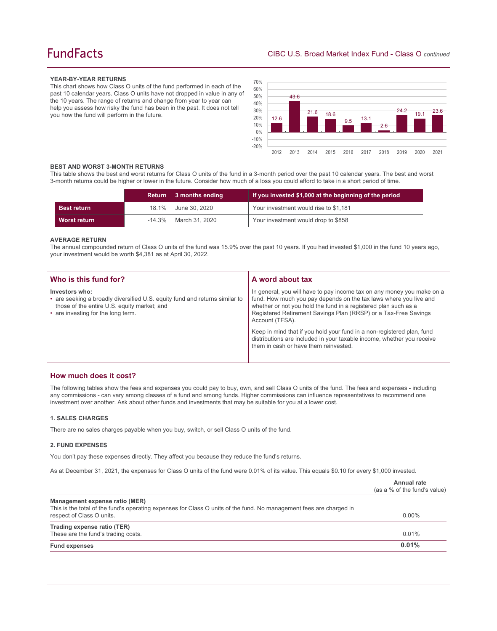# **FundFacts**

### **YEAR-BY-YEAR RETURNS**

This chart shows how Class O units of the fund performed in each of the past 10 calendar years. Class O units have not dropped in value in any of the 10 years. The range of returns and change from year to year can help you assess how risky the fund has been in the past. It does not tell you how the fund will perform in the future.



#### **BEST AND WORST 3-MONTH RETURNS**

This table shows the best and worst returns for Class O units of the fund in a 3-month period over the past 10 calendar years. The best and worst 3-month returns could be higher or lower in the future. Consider how much of a loss you could afford to take in a short period of time.

|                    | Return 3 months ending     | If you invested \$1,000 at the beginning of the period |
|--------------------|----------------------------|--------------------------------------------------------|
| <b>Best return</b> | 18.1%   June 30, 2020      | Your investment would rise to \$1,181                  |
| Worst return       | $-14.3\%$   March 31, 2020 | Your investment would drop to \$858                    |

#### **AVERAGE RETURN**

The annual compounded return of Class O units of the fund was 15.9% over the past 10 years. If you had invested \$1,000 in the fund 10 years ago, your investment would be worth \$4,381 as at April 30, 2022.

| Who is this fund for?                                                                                                                                                              | A word about tax                                                                                                                                                                                                                                                                                     |
|------------------------------------------------------------------------------------------------------------------------------------------------------------------------------------|------------------------------------------------------------------------------------------------------------------------------------------------------------------------------------------------------------------------------------------------------------------------------------------------------|
| Investors who:<br>• are seeking a broadly diversified U.S. equity fund and returns similar to<br>those of the entire U.S. equity market; and<br>• are investing for the long term. | In general, you will have to pay income tax on any money you make on a<br>fund. How much you pay depends on the tax laws where you live and<br>whether or not you hold the fund in a registered plan such as a<br>Registered Retirement Savings Plan (RRSP) or a Tax-Free Savings<br>Account (TFSA). |
|                                                                                                                                                                                    | Keep in mind that if you hold your fund in a non-registered plan, fund<br>distributions are included in your taxable income, whether you receive<br>them in cash or have them reinvested.                                                                                                            |

# **How much does it cost?**

The following tables show the fees and expenses you could pay to buy, own, and sell Class O units of the fund. The fees and expenses - including any commissions - can vary among classes of a fund and among funds. Higher commissions can influence representatives to recommend one investment over another. Ask about other funds and investments that may be suitable for you at a lower cost.

### **1. SALES CHARGES**

There are no sales charges payable when you buy, switch, or sell Class O units of the fund.

#### **2. FUND EXPENSES**

You don't pay these expenses directly. They affect you because they reduce the fund's returns.

As at December 31, 2021, the expenses for Class O units of the fund were 0.01% of its value. This equals \$0.10 for every \$1,000 invested.

|                                                                                                                                                                                    | Annual rate<br>(as a % of the fund's value) |
|------------------------------------------------------------------------------------------------------------------------------------------------------------------------------------|---------------------------------------------|
| Management expense ratio (MER)<br>This is the total of the fund's operating expenses for Class O units of the fund. No management fees are charged in<br>respect of Class O units. | $0.00\%$                                    |
| Trading expense ratio (TER)<br>These are the fund's trading costs.                                                                                                                 | 0.01%                                       |
| <b>Fund expenses</b>                                                                                                                                                               | 0.01%                                       |